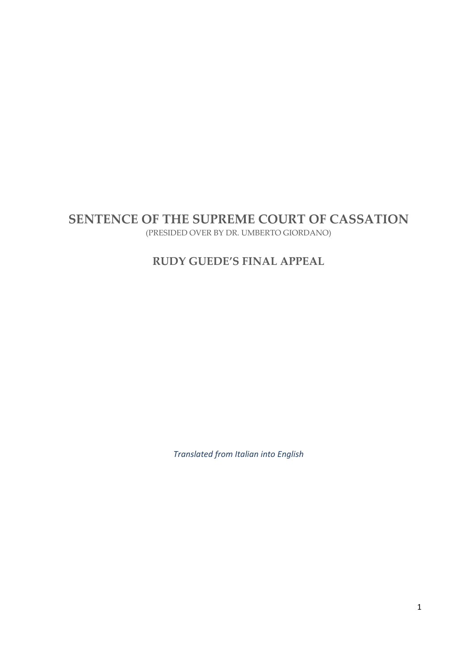# **SENTENCE OF THE SUPREME COURT OF CASSATION**

(PRESIDED OVER BY DR. UMBERTO GIORDANO)

# **RUDY GUEDE'S FINAL APPEAL**

*Translated from Italian into English*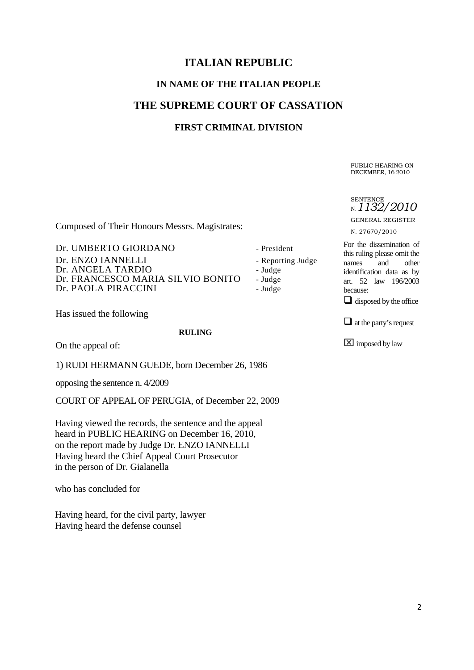# **ITALIAN REPUBLIC**

# **IN NAME OF THE ITALIAN PEOPLE**

## **THE SUPREME COURT OF CASSATION**

#### **FIRST CRIMINAL DIVISION**

Composed of Their Honours Messrs. Magistrates:

Dr. UMBERTO GIORDANO - President Dr. ENZO IANNELLI - Reporting Judge Dr. ANGELA TARDIO - Judge Dr. FRANCESCO MARIA SILVIO BONITO - Judge Dr. PAOLA PIRACCINI - Judge

Has issued the following

**RULING** 

On the appeal of:

1) RUDI HERMANN GUEDE, born December 26, 1986

opposing the sentence n. 4/2009

COURT OF APPEAL OF PERUGIA, of December 22, 2009

Having viewed the records, the sentence and the appeal heard in PUBLIC HEARING on December 16, 2010, on the report made by Judge Dr. ENZO IANNELLI Having heard the Chief Appeal Court Prosecutor in the person of Dr. Gialanella

who has concluded for

Having heard, for the civil party, lawyer Having heard the defense counsel

PUBLIC HEARING ON DECEMBER, 16 2010

**SENTENCE** N. *1132/2010*

GENERAL REGISTER

N. 27670/2010

For the dissemination of this ruling please omit the names and other identification data as by art. 52 law 196/2003 because:

 $\Box$  disposed by the office

 $\Box$  at the party's request

imposed by law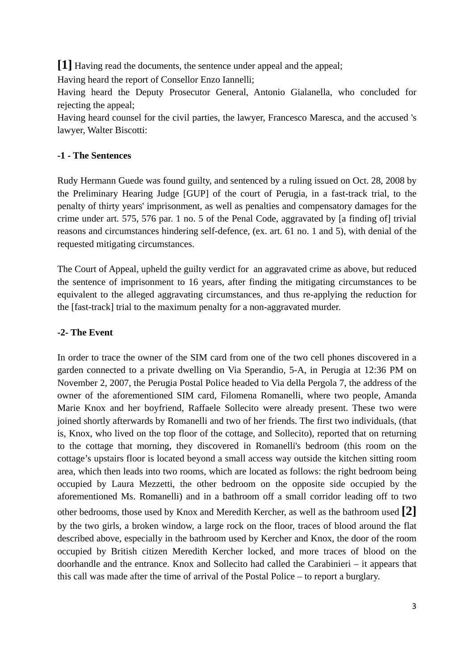**[1]** Having read the documents, the sentence under appeal and the appeal;

Having heard the report of Consellor Enzo Iannelli;

Having heard the Deputy Prosecutor General, Antonio Gialanella, who concluded for rejecting the appeal;

Having heard counsel for the civil parties, the lawyer, Francesco Maresca, and the accused 's lawyer, Walter Biscotti:

### **-1 - The Sentences**

Rudy Hermann Guede was found guilty, and sentenced by a ruling issued on Oct. 28, 2008 by the Preliminary Hearing Judge [GUP] of the court of Perugia, in a fast-track trial, to the penalty of thirty years' imprisonment, as well as penalties and compensatory damages for the crime under art. 575, 576 par. 1 no. 5 of the Penal Code, aggravated by [a finding of] trivial reasons and circumstances hindering self-defence, (ex. art. 61 no. 1 and 5), with denial of the requested mitigating circumstances.

The Court of Appeal, upheld the guilty verdict for an aggravated crime as above, but reduced the sentence of imprisonment to 16 years, after finding the mitigating circumstances to be equivalent to the alleged aggravating circumstances, and thus re-applying the reduction for the [fast-track] trial to the maximum penalty for a non-aggravated murder.

### **-2- The Event**

In order to trace the owner of the SIM card from one of the two cell phones discovered in a garden connected to a private dwelling on Via Sperandio, 5-A, in Perugia at 12:36 PM on November 2, 2007, the Perugia Postal Police headed to Via della Pergola 7, the address of the owner of the aforementioned SIM card, Filomena Romanelli, where two people, Amanda Marie Knox and her boyfriend, Raffaele Sollecito were already present. These two were joined shortly afterwards by Romanelli and two of her friends. The first two individuals, (that is, Knox, who lived on the top floor of the cottage, and Sollecito), reported that on returning to the cottage that morning, they discovered in Romanelli's bedroom (this room on the cottage's upstairs floor is located beyond a small access way outside the kitchen sitting room area, which then leads into two rooms, which are located as follows: the right bedroom being occupied by Laura Mezzetti, the other bedroom on the opposite side occupied by the aforementioned Ms. Romanelli) and in a bathroom off a small corridor leading off to two other bedrooms, those used by Knox and Meredith Kercher, as well as the bathroom used **[2]** by the two girls, a broken window, a large rock on the floor, traces of blood around the flat described above, especially in the bathroom used by Kercher and Knox, the door of the room occupied by British citizen Meredith Kercher locked, and more traces of blood on the doorhandle and the entrance. Knox and Sollecito had called the Carabinieri – it appears that this call was made after the time of arrival of the Postal Police – to report a burglary.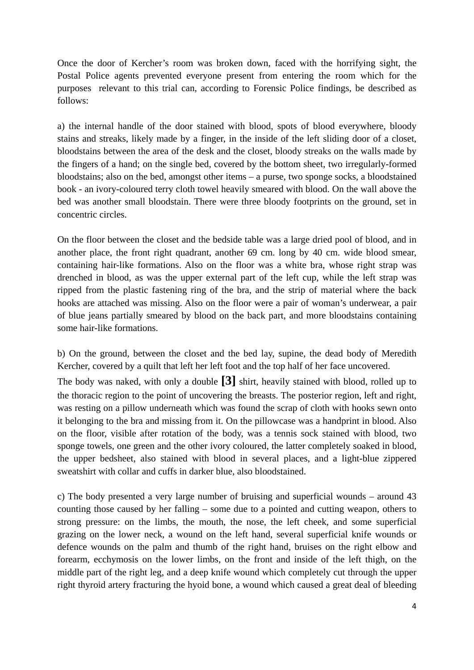Once the door of Kercher's room was broken down, faced with the horrifying sight, the Postal Police agents prevented everyone present from entering the room which for the purposes relevant to this trial can, according to Forensic Police findings, be described as follows:

a) the internal handle of the door stained with blood, spots of blood everywhere, bloody stains and streaks, likely made by a finger, in the inside of the left sliding door of a closet, bloodstains between the area of the desk and the closet, bloody streaks on the walls made by the fingers of a hand; on the single bed, covered by the bottom sheet, two irregularly-formed bloodstains; also on the bed, amongst other items – a purse, two sponge socks, a bloodstained book - an ivory-coloured terry cloth towel heavily smeared with blood. On the wall above the bed was another small bloodstain. There were three bloody footprints on the ground, set in concentric circles.

On the floor between the closet and the bedside table was a large dried pool of blood, and in another place, the front right quadrant, another 69 cm. long by 40 cm. wide blood smear, containing hair-like formations. Also on the floor was a white bra, whose right strap was drenched in blood, as was the upper external part of the left cup, while the left strap was ripped from the plastic fastening ring of the bra, and the strip of material where the back hooks are attached was missing. Also on the floor were a pair of woman's underwear, a pair of blue jeans partially smeared by blood on the back part, and more bloodstains containing some hair-like formations.

b) On the ground, between the closet and the bed lay, supine, the dead body of Meredith Kercher, covered by a quilt that left her left foot and the top half of her face uncovered.

The body was naked, with only a double **[3]** shirt, heavily stained with blood, rolled up to the thoracic region to the point of uncovering the breasts. The posterior region, left and right, was resting on a pillow underneath which was found the scrap of cloth with hooks sewn onto it belonging to the bra and missing from it. On the pillowcase was a handprint in blood. Also on the floor, visible after rotation of the body, was a tennis sock stained with blood, two sponge towels, one green and the other ivory coloured, the latter completely soaked in blood, the upper bedsheet, also stained with blood in several places, and a light-blue zippered sweatshirt with collar and cuffs in darker blue, also bloodstained.

c) The body presented a very large number of bruising and superficial wounds – around 43 counting those caused by her falling – some due to a pointed and cutting weapon, others to strong pressure: on the limbs, the mouth, the nose, the left cheek, and some superficial grazing on the lower neck, a wound on the left hand, several superficial knife wounds or defence wounds on the palm and thumb of the right hand, bruises on the right elbow and forearm, ecchymosis on the lower limbs, on the front and inside of the left thigh, on the middle part of the right leg, and a deep knife wound which completely cut through the upper right thyroid artery fracturing the hyoid bone, a wound which caused a great deal of bleeding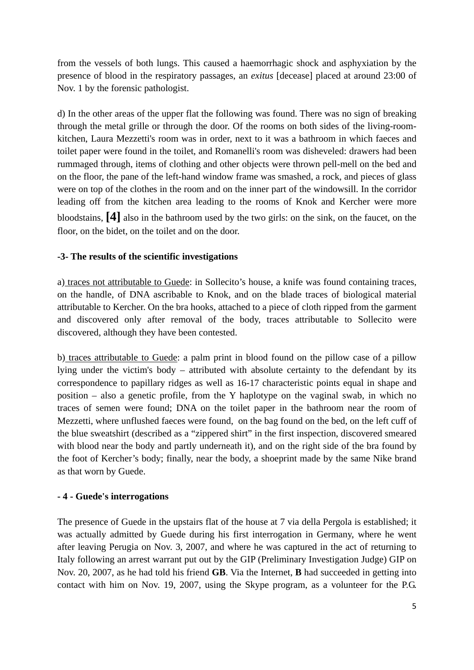from the vessels of both lungs. This caused a haemorrhagic shock and asphyxiation by the presence of blood in the respiratory passages, an *exitus* [decease] placed at around 23:00 of Nov. 1 by the forensic pathologist.

d) In the other areas of the upper flat the following was found. There was no sign of breaking through the metal grille or through the door. Of the rooms on both sides of the living-roomkitchen, Laura Mezzetti's room was in order, next to it was a bathroom in which faeces and toilet paper were found in the toilet, and Romanelli's room was disheveled: drawers had been rummaged through, items of clothing and other objects were thrown pell-mell on the bed and on the floor, the pane of the left-hand window frame was smashed, a rock, and pieces of glass were on top of the clothes in the room and on the inner part of the windowsill. In the corridor leading off from the kitchen area leading to the rooms of Knok and Kercher were more bloodstains, **[4]** also in the bathroom used by the two girls: on the sink, on the faucet, on the floor, on the bidet, on the toilet and on the door.

#### **-3- The results of the scientific investigations**

a) traces not attributable to Guede: in Sollecito's house, a knife was found containing traces, on the handle, of DNA ascribable to Knok, and on the blade traces of biological material attributable to Kercher. On the bra hooks, attached to a piece of cloth ripped from the garment and discovered only after removal of the body, traces attributable to Sollecito were discovered, although they have been contested.

b) traces attributable to Guede: a palm print in blood found on the pillow case of a pillow lying under the victim's body – attributed with absolute certainty to the defendant by its correspondence to papillary ridges as well as 16-17 characteristic points equal in shape and position – also a genetic profile, from the Y haplotype on the vaginal swab, in which no traces of semen were found; DNA on the toilet paper in the bathroom near the room of Mezzetti, where unflushed faeces were found, on the bag found on the bed, on the left cuff of the blue sweatshirt (described as a "zippered shirt" in the first inspection, discovered smeared with blood near the body and partly underneath it), and on the right side of the bra found by the foot of Kercher's body; finally, near the body, a shoeprint made by the same Nike brand as that worn by Guede.

#### **- 4 - Guede's interrogations**

The presence of Guede in the upstairs flat of the house at 7 via della Pergola is established; it was actually admitted by Guede during his first interrogation in Germany, where he went after leaving Perugia on Nov. 3, 2007, and where he was captured in the act of returning to Italy following an arrest warrant put out by the GIP (Preliminary Investigation Judge) GIP on Nov. 20, 2007, as he had told his friend **GB**. Via the Internet, **B** had succeeded in getting into contact with him on Nov. 19, 2007, using the Skype program, as a volunteer for the P.G.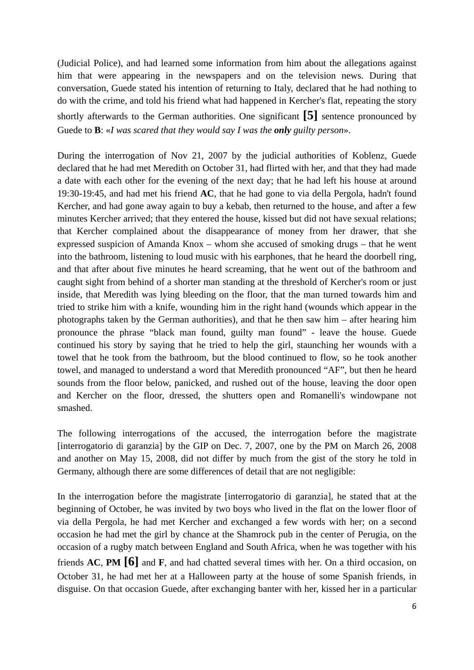(Judicial Police), and had learned some information from him about the allegations against him that were appearing in the newspapers and on the television news. During that conversation, Guede stated his intention of returning to Italy, declared that he had nothing to do with the crime, and told his friend what had happened in Kercher's flat, repeating the story

shortly afterwards to the German authorities. One significant **[5]** sentence pronounced by Guede to **B**: «*I was scared that they would say I was the only guilty person*».

During the interrogation of Nov 21, 2007 by the judicial authorities of Koblenz, Guede declared that he had met Meredith on October 31, had flirted with her, and that they had made a date with each other for the evening of the next day; that he had left his house at around 19:30-19:45, and had met his friend **AC**, that he had gone to via della Pergola, hadn't found Kercher, and had gone away again to buy a kebab, then returned to the house, and after a few minutes Kercher arrived; that they entered the house, kissed but did not have sexual relations; that Kercher complained about the disappearance of money from her drawer, that she expressed suspicion of Amanda Knox – whom she accused of smoking drugs – that he went into the bathroom, listening to loud music with his earphones, that he heard the doorbell ring, and that after about five minutes he heard screaming, that he went out of the bathroom and caught sight from behind of a shorter man standing at the threshold of Kercher's room or just inside, that Meredith was lying bleeding on the floor, that the man turned towards him and tried to strike him with a knife, wounding him in the right hand (wounds which appear in the photographs taken by the German authorities), and that he then saw him – after hearing him pronounce the phrase "black man found, guilty man found" - leave the house. Guede continued his story by saying that he tried to help the girl, staunching her wounds with a towel that he took from the bathroom, but the blood continued to flow, so he took another towel, and managed to understand a word that Meredith pronounced "AF", but then he heard sounds from the floor below, panicked, and rushed out of the house, leaving the door open and Kercher on the floor, dressed, the shutters open and Romanelli's windowpane not smashed.

The following interrogations of the accused, the interrogation before the magistrate [interrogatorio di garanzia] by the GIP on Dec. 7, 2007, one by the PM on March 26, 2008 and another on May 15, 2008, did not differ by much from the gist of the story he told in Germany, although there are some differences of detail that are not negligible:

In the interrogation before the magistrate [interrogatorio di garanzia], he stated that at the beginning of October, he was invited by two boys who lived in the flat on the lower floor of via della Pergola, he had met Kercher and exchanged a few words with her; on a second occasion he had met the girl by chance at the Shamrock pub in the center of Perugia, on the occasion of a rugby match between England and South Africa, when he was together with his friends **AC**, **PM [6]** and **F**, and had chatted several times with her. On a third occasion, on October 31, he had met her at a Halloween party at the house of some Spanish friends, in disguise. On that occasion Guede, after exchanging banter with her, kissed her in a particular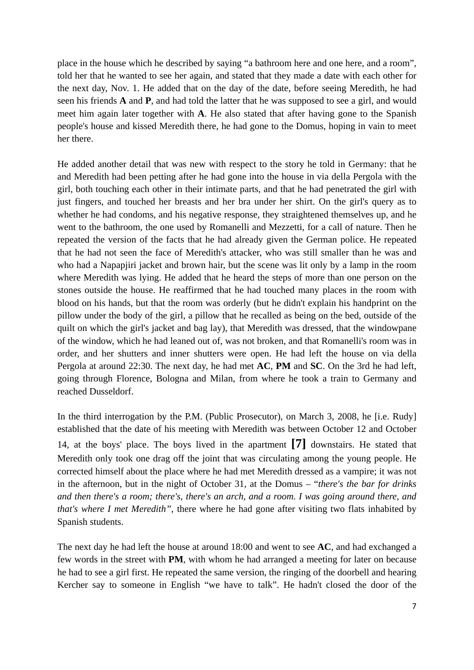place in the house which he described by saying "a bathroom here and one here, and a room", told her that he wanted to see her again, and stated that they made a date with each other for the next day, Nov. 1. He added that on the day of the date, before seeing Meredith, he had seen his friends **A** and **P**, and had told the latter that he was supposed to see a girl, and would meet him again later together with **A**. He also stated that after having gone to the Spanish people's house and kissed Meredith there, he had gone to the Domus, hoping in vain to meet her there.

He added another detail that was new with respect to the story he told in Germany: that he and Meredith had been petting after he had gone into the house in via della Pergola with the girl, both touching each other in their intimate parts, and that he had penetrated the girl with just fingers, and touched her breasts and her bra under her shirt. On the girl's query as to whether he had condoms, and his negative response, they straightened themselves up, and he went to the bathroom, the one used by Romanelli and Mezzetti, for a call of nature. Then he repeated the version of the facts that he had already given the German police. He repeated that he had not seen the face of Meredith's attacker, who was still smaller than he was and who had a Napapjiri jacket and brown hair, but the scene was lit only by a lamp in the room where Meredith was lying. He added that he heard the steps of more than one person on the stones outside the house. He reaffirmed that he had touched many places in the room with blood on his hands, but that the room was orderly (but he didn't explain his handprint on the pillow under the body of the girl, a pillow that he recalled as being on the bed, outside of the quilt on which the girl's jacket and bag lay), that Meredith was dressed, that the windowpane of the window, which he had leaned out of, was not broken, and that Romanelli's room was in order, and her shutters and inner shutters were open. He had left the house on via della Pergola at around 22:30. The next day, he had met **AC**, **PM** and **SC**. On the 3rd he had left, going through Florence, Bologna and Milan, from where he took a train to Germany and reached Dusseldorf.

In the third interrogation by the P.M. (Public Prosecutor), on March 3, 2008, he [i.e. Rudy] established that the date of his meeting with Meredith was between October 12 and October 14, at the boys' place. The boys lived in the apartment **[7]** downstairs. He stated that Meredith only took one drag off the joint that was circulating among the young people. He corrected himself about the place where he had met Meredith dressed as a vampire; it was not in the afternoon, but in the night of October 31, at the Domus – "*there's the bar for drinks and then there's a room; there's, there's an arch, and a room. I was going around there, and that's where I met Meredith"*, there where he had gone after visiting two flats inhabited by Spanish students.

The next day he had left the house at around 18:00 and went to see **AC**, and had exchanged a few words in the street with **PM**, with whom he had arranged a meeting for later on because he had to see a girl first. He repeated the same version, the ringing of the doorbell and hearing Kercher say to someone in English "we have to talk". He hadn't closed the door of the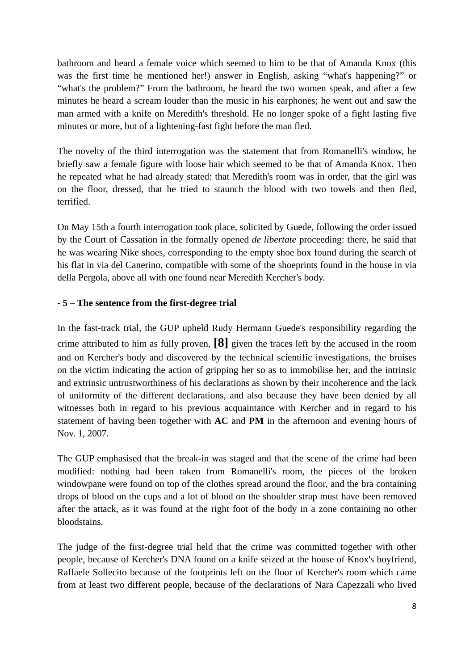bathroom and heard a female voice which seemed to him to be that of Amanda Knox (this was the first time he mentioned her!) answer in English, asking "what's happening?" or "what's the problem?" From the bathroom, he heard the two women speak, and after a few minutes he heard a scream louder than the music in his earphones; he went out and saw the man armed with a knife on Meredith's threshold. He no longer spoke of a fight lasting five minutes or more, but of a lightening-fast fight before the man fled.

The novelty of the third interrogation was the statement that from Romanelli's window, he briefly saw a female figure with loose hair which seemed to be that of Amanda Knox. Then he repeated what he had already stated: that Meredith's room was in order, that the girl was on the floor, dressed, that he tried to staunch the blood with two towels and then fled, terrified.

On May 15th a fourth interrogation took place, solicited by Guede, following the order issued by the Court of Cassation in the formally opened *de libertate* proceeding: there, he said that he was wearing Nike shoes, corresponding to the empty shoe box found during the search of his flat in via del Canerino, compatible with some of the shoeprints found in the house in via della Pergola, above all with one found near Meredith Kercher's body.

#### **- 5 – The sentence from the first-degree trial**

In the fast-track trial, the GUP upheld Rudy Hermann Guede's responsibility regarding the crime attributed to him as fully proven, **[8]** given the traces left by the accused in the room and on Kercher's body and discovered by the technical scientific investigations, the bruises on the victim indicating the action of gripping her so as to immobilise her, and the intrinsic and extrinsic untrustworthiness of his declarations as shown by their incoherence and the lack of uniformity of the different declarations, and also because they have been denied by all witnesses both in regard to his previous acquaintance with Kercher and in regard to his statement of having been together with **AC** and **PM** in the afternoon and evening hours of Nov. 1, 2007.

The GUP emphasised that the break-in was staged and that the scene of the crime had been modified: nothing had been taken from Romanelli's room, the pieces of the broken windowpane were found on top of the clothes spread around the floor, and the bra containing drops of blood on the cups and a lot of blood on the shoulder strap must have been removed after the attack, as it was found at the right foot of the body in a zone containing no other bloodstains.

The judge of the first-degree trial held that the crime was committed together with other people, because of Kercher's DNA found on a knife seized at the house of Knox's boyfriend, Raffaele Sollecito because of the footprints left on the floor of Kercher's room which came from at least two different people, because of the declarations of Nara Capezzali who lived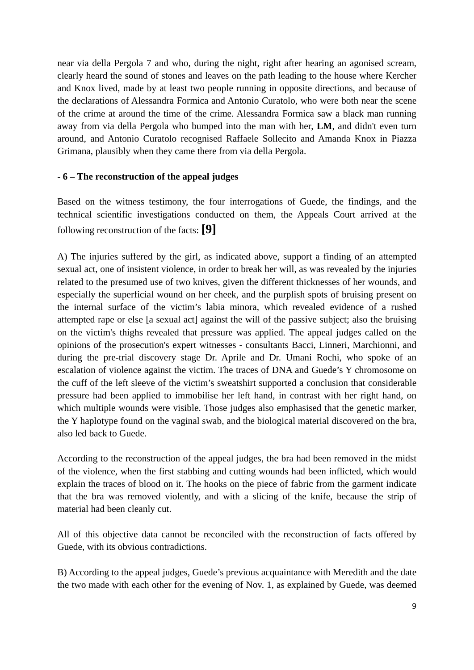near via della Pergola 7 and who, during the night, right after hearing an agonised scream, clearly heard the sound of stones and leaves on the path leading to the house where Kercher and Knox lived, made by at least two people running in opposite directions, and because of the declarations of Alessandra Formica and Antonio Curatolo, who were both near the scene of the crime at around the time of the crime. Alessandra Formica saw a black man running away from via della Pergola who bumped into the man with her, **LM**, and didn't even turn around, and Antonio Curatolo recognised Raffaele Sollecito and Amanda Knox in Piazza Grimana, plausibly when they came there from via della Pergola.

#### **- 6 – The reconstruction of the appeal judges**

Based on the witness testimony, the four interrogations of Guede, the findings, and the technical scientific investigations conducted on them, the Appeals Court arrived at the following reconstruction of the facts: **[9]**

A) The injuries suffered by the girl, as indicated above, support a finding of an attempted sexual act, one of insistent violence, in order to break her will, as was revealed by the injuries related to the presumed use of two knives, given the different thicknesses of her wounds, and especially the superficial wound on her cheek, and the purplish spots of bruising present on the internal surface of the victim's labia minora, which revealed evidence of a rushed attempted rape or else [a sexual act] against the will of the passive subject; also the bruising on the victim's thighs revealed that pressure was applied. The appeal judges called on the opinions of the prosecution's expert witnesses - consultants Bacci, Linneri, Marchionni, and during the pre-trial discovery stage Dr. Aprile and Dr. Umani Rochi, who spoke of an escalation of violence against the victim. The traces of DNA and Guede's Y chromosome on the cuff of the left sleeve of the victim's sweatshirt supported a conclusion that considerable pressure had been applied to immobilise her left hand, in contrast with her right hand, on which multiple wounds were visible. Those judges also emphasised that the genetic marker, the Y haplotype found on the vaginal swab, and the biological material discovered on the bra, also led back to Guede.

According to the reconstruction of the appeal judges, the bra had been removed in the midst of the violence, when the first stabbing and cutting wounds had been inflicted, which would explain the traces of blood on it. The hooks on the piece of fabric from the garment indicate that the bra was removed violently, and with a slicing of the knife, because the strip of material had been cleanly cut.

All of this objective data cannot be reconciled with the reconstruction of facts offered by Guede, with its obvious contradictions.

B) According to the appeal judges, Guede's previous acquaintance with Meredith and the date the two made with each other for the evening of Nov. 1, as explained by Guede, was deemed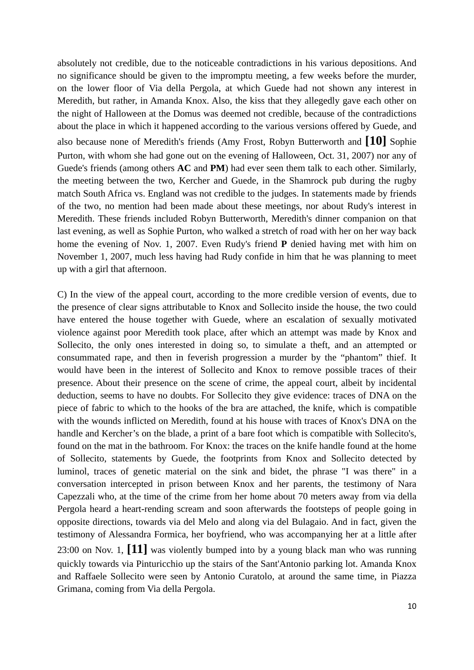absolutely not credible, due to the noticeable contradictions in his various depositions. And no significance should be given to the impromptu meeting, a few weeks before the murder, on the lower floor of Via della Pergola, at which Guede had not shown any interest in Meredith, but rather, in Amanda Knox. Also, the kiss that they allegedly gave each other on the night of Halloween at the Domus was deemed not credible, because of the contradictions about the place in which it happened according to the various versions offered by Guede, and also because none of Meredith's friends (Amy Frost, Robyn Butterworth and **[10]** Sophie Purton, with whom she had gone out on the evening of Halloween, Oct. 31, 2007) nor any of Guede's friends (among others **AC** and **PM**) had ever seen them talk to each other. Similarly, the meeting between the two, Kercher and Guede, in the Shamrock pub during the rugby match South Africa vs. England was not credible to the judges. In statements made by friends of the two, no mention had been made about these meetings, nor about Rudy's interest in Meredith. These friends included Robyn Butterworth, Meredith's dinner companion on that last evening, as well as Sophie Purton, who walked a stretch of road with her on her way back home the evening of Nov. 1, 2007. Even Rudy's friend **P** denied having met with him on November 1, 2007, much less having had Rudy confide in him that he was planning to meet up with a girl that afternoon.

C) In the view of the appeal court, according to the more credible version of events, due to the presence of clear signs attributable to Knox and Sollecito inside the house, the two could have entered the house together with Guede, where an escalation of sexually motivated violence against poor Meredith took place, after which an attempt was made by Knox and Sollecito, the only ones interested in doing so, to simulate a theft, and an attempted or consummated rape, and then in feverish progression a murder by the "phantom" thief. It would have been in the interest of Sollecito and Knox to remove possible traces of their presence. About their presence on the scene of crime, the appeal court, albeit by incidental deduction, seems to have no doubts. For Sollecito they give evidence: traces of DNA on the piece of fabric to which to the hooks of the bra are attached, the knife, which is compatible with the wounds inflicted on Meredith, found at his house with traces of Knox's DNA on the handle and Kercher's on the blade, a print of a bare foot which is compatible with Sollecito's, found on the mat in the bathroom. For Knox: the traces on the knife handle found at the home of Sollecito, statements by Guede, the footprints from Knox and Sollecito detected by luminol, traces of genetic material on the sink and bidet, the phrase "I was there" in a conversation intercepted in prison between Knox and her parents, the testimony of Nara Capezzali who, at the time of the crime from her home about 70 meters away from via della Pergola heard a heart-rending scream and soon afterwards the footsteps of people going in opposite directions, towards via del Melo and along via del Bulagaio. And in fact, given the testimony of Alessandra Formica, her boyfriend, who was accompanying her at a little after 23:00 on Nov. 1, **[11]** was violently bumped into by a young black man who was running quickly towards via Pinturicchio up the stairs of the Sant'Antonio parking lot. Amanda Knox and Raffaele Sollecito were seen by Antonio Curatolo, at around the same time, in Piazza Grimana, coming from Via della Pergola.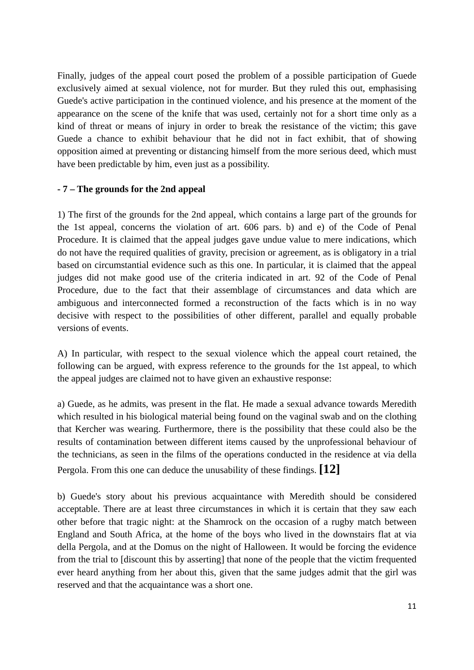Finally, judges of the appeal court posed the problem of a possible participation of Guede exclusively aimed at sexual violence, not for murder. But they ruled this out, emphasising Guede's active participation in the continued violence, and his presence at the moment of the appearance on the scene of the knife that was used, certainly not for a short time only as a kind of threat or means of injury in order to break the resistance of the victim; this gave Guede a chance to exhibit behaviour that he did not in fact exhibit, that of showing opposition aimed at preventing or distancing himself from the more serious deed, which must have been predictable by him, even just as a possibility.

#### **- 7 – The grounds for the 2nd appeal**

1) The first of the grounds for the 2nd appeal, which contains a large part of the grounds for the 1st appeal, concerns the violation of art. 606 pars. b) and e) of the Code of Penal Procedure. It is claimed that the appeal judges gave undue value to mere indications, which do not have the required qualities of gravity, precision or agreement, as is obligatory in a trial based on circumstantial evidence such as this one. In particular, it is claimed that the appeal judges did not make good use of the criteria indicated in art. 92 of the Code of Penal Procedure, due to the fact that their assemblage of circumstances and data which are ambiguous and interconnected formed a reconstruction of the facts which is in no way decisive with respect to the possibilities of other different, parallel and equally probable versions of events.

A) In particular, with respect to the sexual violence which the appeal court retained, the following can be argued, with express reference to the grounds for the 1st appeal, to which the appeal judges are claimed not to have given an exhaustive response:

a) Guede, as he admits, was present in the flat. He made a sexual advance towards Meredith which resulted in his biological material being found on the vaginal swab and on the clothing that Kercher was wearing. Furthermore, there is the possibility that these could also be the results of contamination between different items caused by the unprofessional behaviour of the technicians, as seen in the films of the operations conducted in the residence at via della Pergola. From this one can deduce the unusability of these findings. **[12]**

b) Guede's story about his previous acquaintance with Meredith should be considered acceptable. There are at least three circumstances in which it is certain that they saw each other before that tragic night: at the Shamrock on the occasion of a rugby match between England and South Africa, at the home of the boys who lived in the downstairs flat at via della Pergola, and at the Domus on the night of Halloween. It would be forcing the evidence from the trial to [discount this by asserting] that none of the people that the victim frequented ever heard anything from her about this, given that the same judges admit that the girl was reserved and that the acquaintance was a short one.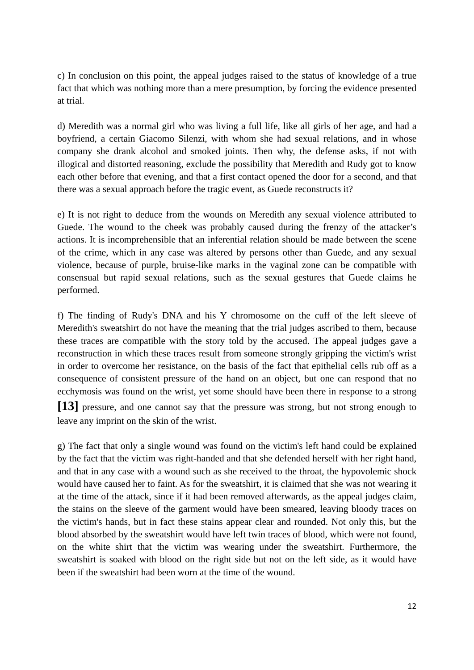c) In conclusion on this point, the appeal judges raised to the status of knowledge of a true fact that which was nothing more than a mere presumption, by forcing the evidence presented at trial.

d) Meredith was a normal girl who was living a full life, like all girls of her age, and had a boyfriend, a certain Giacomo Silenzi, with whom she had sexual relations, and in whose company she drank alcohol and smoked joints. Then why, the defense asks, if not with illogical and distorted reasoning, exclude the possibility that Meredith and Rudy got to know each other before that evening, and that a first contact opened the door for a second, and that there was a sexual approach before the tragic event, as Guede reconstructs it?

e) It is not right to deduce from the wounds on Meredith any sexual violence attributed to Guede. The wound to the cheek was probably caused during the frenzy of the attacker's actions. It is incomprehensible that an inferential relation should be made between the scene of the crime, which in any case was altered by persons other than Guede, and any sexual violence, because of purple, bruise-like marks in the vaginal zone can be compatible with consensual but rapid sexual relations, such as the sexual gestures that Guede claims he performed.

f) The finding of Rudy's DNA and his Y chromosome on the cuff of the left sleeve of Meredith's sweatshirt do not have the meaning that the trial judges ascribed to them, because these traces are compatible with the story told by the accused. The appeal judges gave a reconstruction in which these traces result from someone strongly gripping the victim's wrist in order to overcome her resistance, on the basis of the fact that epithelial cells rub off as a consequence of consistent pressure of the hand on an object, but one can respond that no ecchymosis was found on the wrist, yet some should have been there in response to a strong **[13]** pressure, and one cannot say that the pressure was strong, but not strong enough to leave any imprint on the skin of the wrist.

g) The fact that only a single wound was found on the victim's left hand could be explained by the fact that the victim was right-handed and that she defended herself with her right hand, and that in any case with a wound such as she received to the throat, the hypovolemic shock would have caused her to faint. As for the sweatshirt, it is claimed that she was not wearing it at the time of the attack, since if it had been removed afterwards, as the appeal judges claim, the stains on the sleeve of the garment would have been smeared, leaving bloody traces on the victim's hands, but in fact these stains appear clear and rounded. Not only this, but the blood absorbed by the sweatshirt would have left twin traces of blood, which were not found, on the white shirt that the victim was wearing under the sweatshirt. Furthermore, the sweatshirt is soaked with blood on the right side but not on the left side, as it would have been if the sweatshirt had been worn at the time of the wound.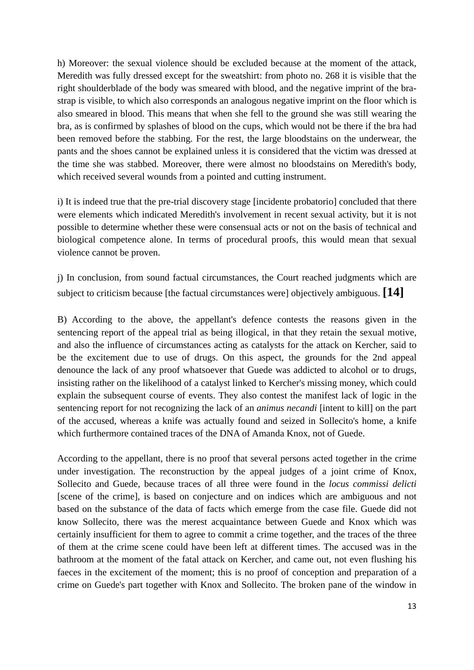h) Moreover: the sexual violence should be excluded because at the moment of the attack, Meredith was fully dressed except for the sweatshirt: from photo no. 268 it is visible that the right shoulderblade of the body was smeared with blood, and the negative imprint of the brastrap is visible, to which also corresponds an analogous negative imprint on the floor which is also smeared in blood. This means that when she fell to the ground she was still wearing the bra, as is confirmed by splashes of blood on the cups, which would not be there if the bra had been removed before the stabbing. For the rest, the large bloodstains on the underwear, the pants and the shoes cannot be explained unless it is considered that the victim was dressed at the time she was stabbed. Moreover, there were almost no bloodstains on Meredith's body, which received several wounds from a pointed and cutting instrument.

i) It is indeed true that the pre-trial discovery stage [incidente probatorio] concluded that there were elements which indicated Meredith's involvement in recent sexual activity, but it is not possible to determine whether these were consensual acts or not on the basis of technical and biological competence alone. In terms of procedural proofs, this would mean that sexual violence cannot be proven.

j) In conclusion, from sound factual circumstances, the Court reached judgments which are subject to criticism because [the factual circumstances were] objectively ambiguous. **[14]**

B) According to the above, the appellant's defence contests the reasons given in the sentencing report of the appeal trial as being illogical, in that they retain the sexual motive, and also the influence of circumstances acting as catalysts for the attack on Kercher, said to be the excitement due to use of drugs. On this aspect, the grounds for the 2nd appeal denounce the lack of any proof whatsoever that Guede was addicted to alcohol or to drugs, insisting rather on the likelihood of a catalyst linked to Kercher's missing money, which could explain the subsequent course of events. They also contest the manifest lack of logic in the sentencing report for not recognizing the lack of an *animus necandi* [intent to kill] on the part of the accused, whereas a knife was actually found and seized in Sollecito's home, a knife which furthermore contained traces of the DNA of Amanda Knox, not of Guede.

According to the appellant, there is no proof that several persons acted together in the crime under investigation. The reconstruction by the appeal judges of a joint crime of Knox, Sollecito and Guede, because traces of all three were found in the *locus commissi delicti* [scene of the crime], is based on conjecture and on indices which are ambiguous and not based on the substance of the data of facts which emerge from the case file. Guede did not know Sollecito, there was the merest acquaintance between Guede and Knox which was certainly insufficient for them to agree to commit a crime together, and the traces of the three of them at the crime scene could have been left at different times. The accused was in the bathroom at the moment of the fatal attack on Kercher, and came out, not even flushing his faeces in the excitement of the moment; this is no proof of conception and preparation of a crime on Guede's part together with Knox and Sollecito. The broken pane of the window in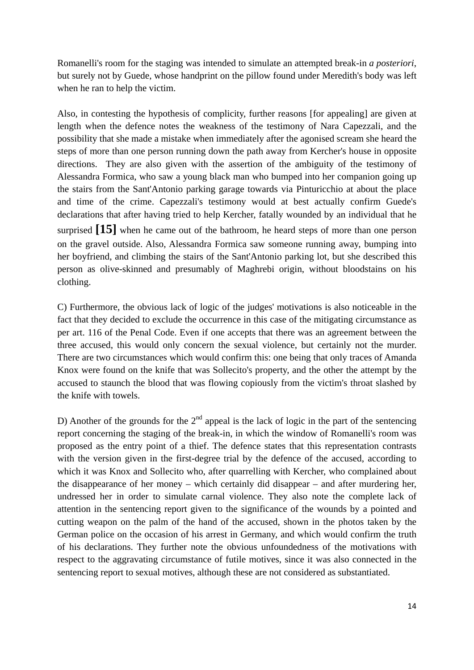Romanelli's room for the staging was intended to simulate an attempted break-in *a posteriori*, but surely not by Guede, whose handprint on the pillow found under Meredith's body was left when he ran to help the victim.

Also, in contesting the hypothesis of complicity, further reasons [for appealing] are given at length when the defence notes the weakness of the testimony of Nara Capezzali, and the possibility that she made a mistake when immediately after the agonised scream she heard the steps of more than one person running down the path away from Kercher's house in opposite directions. They are also given with the assertion of the ambiguity of the testimony of Alessandra Formica, who saw a young black man who bumped into her companion going up the stairs from the Sant'Antonio parking garage towards via Pinturicchio at about the place and time of the crime. Capezzali's testimony would at best actually confirm Guede's declarations that after having tried to help Kercher, fatally wounded by an individual that he surprised **[15]** when he came out of the bathroom, he heard steps of more than one person on the gravel outside. Also, Alessandra Formica saw someone running away, bumping into her boyfriend, and climbing the stairs of the Sant'Antonio parking lot, but she described this person as olive-skinned and presumably of Maghrebi origin, without bloodstains on his clothing.

C) Furthermore, the obvious lack of logic of the judges' motivations is also noticeable in the fact that they decided to exclude the occurrence in this case of the mitigating circumstance as per art. 116 of the Penal Code. Even if one accepts that there was an agreement between the three accused, this would only concern the sexual violence, but certainly not the murder. There are two circumstances which would confirm this: one being that only traces of Amanda Knox were found on the knife that was Sollecito's property, and the other the attempt by the accused to staunch the blood that was flowing copiously from the victim's throat slashed by the knife with towels.

D) Another of the grounds for the  $2<sup>nd</sup>$  appeal is the lack of logic in the part of the sentencing report concerning the staging of the break-in, in which the window of Romanelli's room was proposed as the entry point of a thief. The defence states that this representation contrasts with the version given in the first-degree trial by the defence of the accused, according to which it was Knox and Sollecito who, after quarrelling with Kercher, who complained about the disappearance of her money – which certainly did disappear – and after murdering her, undressed her in order to simulate carnal violence. They also note the complete lack of attention in the sentencing report given to the significance of the wounds by a pointed and cutting weapon on the palm of the hand of the accused, shown in the photos taken by the German police on the occasion of his arrest in Germany, and which would confirm the truth of his declarations. They further note the obvious unfoundedness of the motivations with respect to the aggravating circumstance of futile motives, since it was also connected in the sentencing report to sexual motives, although these are not considered as substantiated.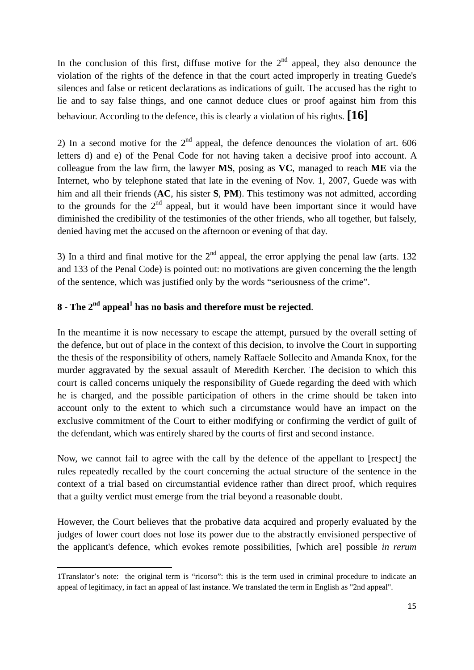In the conclusion of this first, diffuse motive for the  $2<sup>nd</sup>$  appeal, they also denounce the violation of the rights of the defence in that the court acted improperly in treating Guede's silences and false or reticent declarations as indications of guilt. The accused has the right to lie and to say false things, and one cannot deduce clues or proof against him from this behaviour. According to the defence, this is clearly a violation of his rights. **[16]**

2) In a second motive for the  $2<sup>nd</sup>$  appeal, the defence denounces the violation of art. 606 letters d) and e) of the Penal Code for not having taken a decisive proof into account. A colleague from the law firm, the lawyer **MS**, posing as **VC**, managed to reach **ME** via the Internet, who by telephone stated that late in the evening of Nov. 1, 2007, Guede was with him and all their friends (**AC**, his sister **S**, **PM**). This testimony was not admitted, according to the grounds for the  $2<sup>nd</sup>$  appeal, but it would have been important since it would have diminished the credibility of the testimonies of the other friends, who all together, but falsely, denied having met the accused on the afternoon or evening of that day.

3) In a third and final motive for the  $2<sup>nd</sup>$  appeal, the error applying the penal law (arts. 132) and 133 of the Penal Code) is pointed out: no motivations are given concerning the the length of the sentence, which was justified only by the words "seriousness of the crime".

# 8 - The 2<sup>nd</sup> appeal<sup>1</sup> has no basis and therefore must be rejected.

In the meantime it is now necessary to escape the attempt, pursued by the overall setting of the defence, but out of place in the context of this decision, to involve the Court in supporting the thesis of the responsibility of others, namely Raffaele Sollecito and Amanda Knox, for the murder aggravated by the sexual assault of Meredith Kercher. The decision to which this court is called concerns uniquely the responsibility of Guede regarding the deed with which he is charged, and the possible participation of others in the crime should be taken into account only to the extent to which such a circumstance would have an impact on the exclusive commitment of the Court to either modifying or confirming the verdict of guilt of the defendant, which was entirely shared by the courts of first and second instance.

Now, we cannot fail to agree with the call by the defence of the appellant to [respect] the rules repeatedly recalled by the court concerning the actual structure of the sentence in the context of a trial based on circumstantial evidence rather than direct proof, which requires that a guilty verdict must emerge from the trial beyond a reasonable doubt.

However, the Court believes that the probative data acquired and properly evaluated by the judges of lower court does not lose its power due to the abstractly envisioned perspective of the applicant's defence, which evokes remote possibilities, [which are] possible *in rerum* 

<sup>1</sup>Translator's note: the original term is "ricorso": this is the term used in criminal procedure to indicate an appeal of legitimacy, in fact an appeal of last instance. We translated the term in English as "2nd appeal".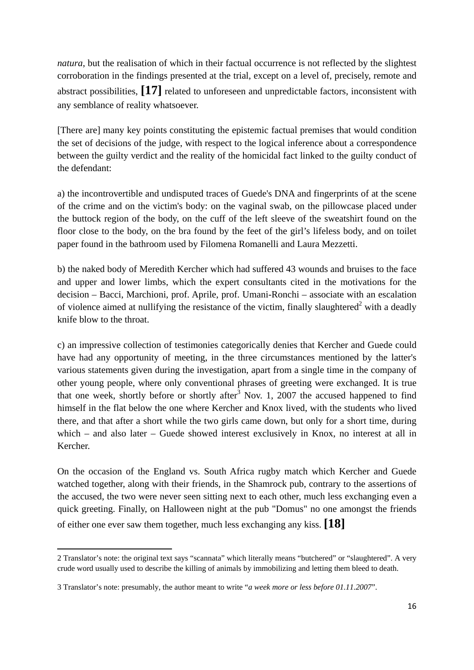*natura*, but the realisation of which in their factual occurrence is not reflected by the slightest corroboration in the findings presented at the trial, except on a level of, precisely, remote and abstract possibilities, **[17]** related to unforeseen and unpredictable factors, inconsistent with any semblance of reality whatsoever.

[There are] many key points constituting the epistemic factual premises that would condition the set of decisions of the judge, with respect to the logical inference about a correspondence between the guilty verdict and the reality of the homicidal fact linked to the guilty conduct of the defendant:

a) the incontrovertible and undisputed traces of Guede's DNA and fingerprints of at the scene of the crime and on the victim's body: on the vaginal swab, on the pillowcase placed under the buttock region of the body, on the cuff of the left sleeve of the sweatshirt found on the floor close to the body, on the bra found by the feet of the girl's lifeless body, and on toilet paper found in the bathroom used by Filomena Romanelli and Laura Mezzetti.

b) the naked body of Meredith Kercher which had suffered 43 wounds and bruises to the face and upper and lower limbs, which the expert consultants cited in the motivations for the decision – Bacci, Marchioni, prof. Aprile, prof. Umani-Ronchi – associate with an escalation of violence aimed at nullifying the resistance of the victim, finally slaughtered<sup>2</sup> with a deadly knife blow to the throat.

c) an impressive collection of testimonies categorically denies that Kercher and Guede could have had any opportunity of meeting, in the three circumstances mentioned by the latter's various statements given during the investigation, apart from a single time in the company of other young people, where only conventional phrases of greeting were exchanged. It is true that one week, shortly before or shortly after<sup>3</sup> Nov. 1, 2007 the accused happened to find himself in the flat below the one where Kercher and Knox lived, with the students who lived there, and that after a short while the two girls came down, but only for a short time, during which – and also later – Guede showed interest exclusively in Knox, no interest at all in Kercher.

On the occasion of the England vs. South Africa rugby match which Kercher and Guede watched together, along with their friends, in the Shamrock pub, contrary to the assertions of the accused, the two were never seen sitting next to each other, much less exchanging even a quick greeting. Finally, on Halloween night at the pub "Domus" no one amongst the friends of either one ever saw them together, much less exchanging any kiss. **[18]**

 2 Translator's note: the original text says "scannata" which literally means "butchered" or "slaughtered". A very crude word usually used to describe the killing of animals by immobilizing and letting them bleed to death.

<sup>3</sup> Translator's note: presumably, the author meant to write "*a week more or less before 01.11.2007*".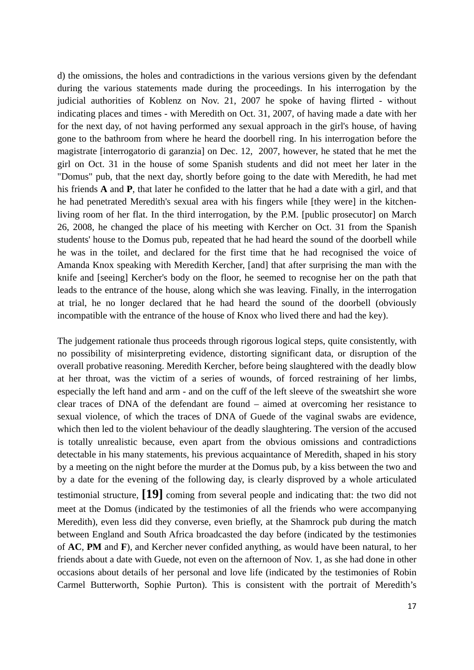d) the omissions, the holes and contradictions in the various versions given by the defendant during the various statements made during the proceedings. In his interrogation by the judicial authorities of Koblenz on Nov. 21, 2007 he spoke of having flirted - without indicating places and times - with Meredith on Oct. 31, 2007, of having made a date with her for the next day, of not having performed any sexual approach in the girl's house, of having gone to the bathroom from where he heard the doorbell ring. In his interrogation before the magistrate [interrogatorio di garanzia] on Dec. 12, 2007, however, he stated that he met the girl on Oct. 31 in the house of some Spanish students and did not meet her later in the "Domus" pub, that the next day, shortly before going to the date with Meredith, he had met his friends **A** and **P**, that later he confided to the latter that he had a date with a girl, and that he had penetrated Meredith's sexual area with his fingers while [they were] in the kitchenliving room of her flat. In the third interrogation, by the P.M. [public prosecutor] on March 26, 2008, he changed the place of his meeting with Kercher on Oct. 31 from the Spanish students' house to the Domus pub, repeated that he had heard the sound of the doorbell while he was in the toilet, and declared for the first time that he had recognised the voice of Amanda Knox speaking with Meredith Kercher, [and] that after surprising the man with the knife and [seeing] Kercher's body on the floor, he seemed to recognise her on the path that leads to the entrance of the house, along which she was leaving. Finally, in the interrogation at trial, he no longer declared that he had heard the sound of the doorbell (obviously incompatible with the entrance of the house of Knox who lived there and had the key).

The judgement rationale thus proceeds through rigorous logical steps, quite consistently, with no possibility of misinterpreting evidence, distorting significant data, or disruption of the overall probative reasoning. Meredith Kercher, before being slaughtered with the deadly blow at her throat, was the victim of a series of wounds, of forced restraining of her limbs, especially the left hand and arm - and on the cuff of the left sleeve of the sweatshirt she wore clear traces of DNA of the defendant are found – aimed at overcoming her resistance to sexual violence, of which the traces of DNA of Guede of the vaginal swabs are evidence, which then led to the violent behaviour of the deadly slaughtering. The version of the accused is totally unrealistic because, even apart from the obvious omissions and contradictions detectable in his many statements, his previous acquaintance of Meredith, shaped in his story by a meeting on the night before the murder at the Domus pub, by a kiss between the two and by a date for the evening of the following day, is clearly disproved by a whole articulated testimonial structure, **[19]** coming from several people and indicating that: the two did not meet at the Domus (indicated by the testimonies of all the friends who were accompanying Meredith), even less did they converse, even briefly, at the Shamrock pub during the match between England and South Africa broadcasted the day before (indicated by the testimonies of **AC**, **PM** and **F**), and Kercher never confided anything, as would have been natural, to her friends about a date with Guede, not even on the afternoon of Nov. 1, as she had done in other occasions about details of her personal and love life (indicated by the testimonies of Robin Carmel Butterworth, Sophie Purton). This is consistent with the portrait of Meredith's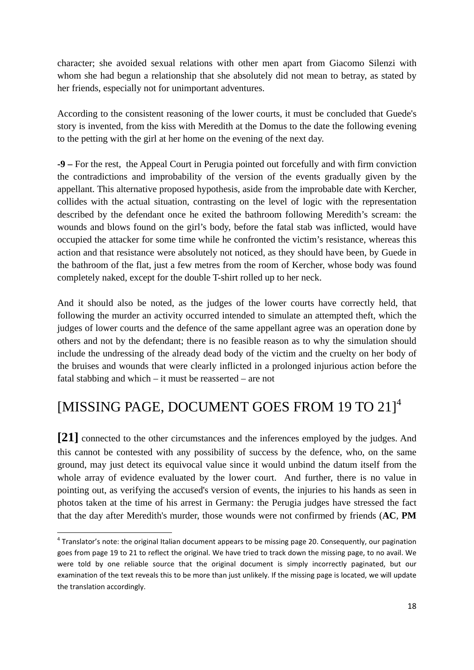character; she avoided sexual relations with other men apart from Giacomo Silenzi with whom she had begun a relationship that she absolutely did not mean to betray, as stated by her friends, especially not for unimportant adventures.

According to the consistent reasoning of the lower courts, it must be concluded that Guede's story is invented, from the kiss with Meredith at the Domus to the date the following evening to the petting with the girl at her home on the evening of the next day.

**-9 –** For the rest, the Appeal Court in Perugia pointed out forcefully and with firm conviction the contradictions and improbability of the version of the events gradually given by the appellant. This alternative proposed hypothesis, aside from the improbable date with Kercher, collides with the actual situation, contrasting on the level of logic with the representation described by the defendant once he exited the bathroom following Meredith's scream: the wounds and blows found on the girl's body, before the fatal stab was inflicted, would have occupied the attacker for some time while he confronted the victim's resistance, whereas this action and that resistance were absolutely not noticed, as they should have been, by Guede in the bathroom of the flat, just a few metres from the room of Kercher, whose body was found completely naked, except for the double T-shirt rolled up to her neck.

And it should also be noted, as the judges of the lower courts have correctly held, that following the murder an activity occurred intended to simulate an attempted theft, which the judges of lower courts and the defence of the same appellant agree was an operation done by others and not by the defendant; there is no feasible reason as to why the simulation should include the undressing of the already dead body of the victim and the cruelty on her body of the bruises and wounds that were clearly inflicted in a prolonged injurious action before the fatal stabbing and which – it must be reasserted – are not

# [MISSING PAGE, DOCUMENT GOES FROM 19 TO 21]<sup>4</sup>

**[21]** connected to the other circumstances and the inferences employed by the judges. And this cannot be contested with any possibility of success by the defence, who, on the same ground, may just detect its equivocal value since it would unbind the datum itself from the whole array of evidence evaluated by the lower court. And further, there is no value in pointing out, as verifying the accused's version of events, the injuries to his hands as seen in photos taken at the time of his arrest in Germany: the Perugia judges have stressed the fact that the day after Meredith's murder, those wounds were not confirmed by friends (**AC**, **PM**

 $4$  Translator's note: the original Italian document appears to be missing page 20. Consequently, our pagination goes from page 19 to 21 to reflect the original. We have tried to track down the missing page, to no avail. We were told by one reliable source that the original document is simply incorrectly paginated, but our examination of the text reveals this to be more than just unlikely. If the missing page is located, we will update the translation accordingly.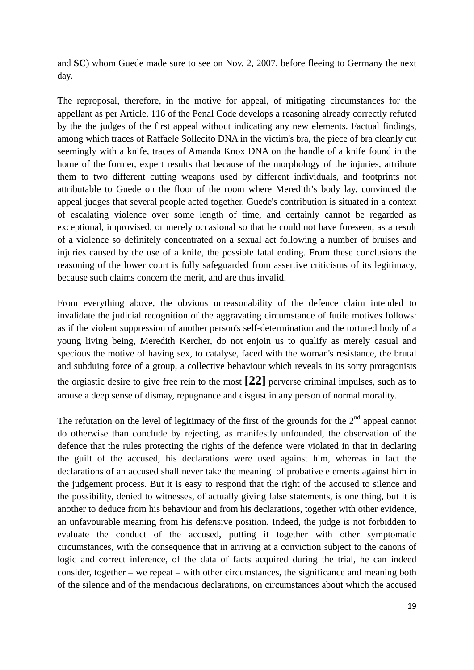and **SC**) whom Guede made sure to see on Nov. 2, 2007, before fleeing to Germany the next day.

The reproposal, therefore, in the motive for appeal, of mitigating circumstances for the appellant as per Article. 116 of the Penal Code develops a reasoning already correctly refuted by the the judges of the first appeal without indicating any new elements. Factual findings, among which traces of Raffaele Sollecito DNA in the victim's bra, the piece of bra cleanly cut seemingly with a knife, traces of Amanda Knox DNA on the handle of a knife found in the home of the former, expert results that because of the morphology of the injuries, attribute them to two different cutting weapons used by different individuals, and footprints not attributable to Guede on the floor of the room where Meredith's body lay, convinced the appeal judges that several people acted together. Guede's contribution is situated in a context of escalating violence over some length of time, and certainly cannot be regarded as exceptional, improvised, or merely occasional so that he could not have foreseen, as a result of a violence so definitely concentrated on a sexual act following a number of bruises and injuries caused by the use of a knife, the possible fatal ending. From these conclusions the reasoning of the lower court is fully safeguarded from assertive criticisms of its legitimacy, because such claims concern the merit, and are thus invalid.

From everything above, the obvious unreasonability of the defence claim intended to invalidate the judicial recognition of the aggravating circumstance of futile motives follows: as if the violent suppression of another person's self-determination and the tortured body of a young living being, Meredith Kercher, do not enjoin us to qualify as merely casual and specious the motive of having sex, to catalyse, faced with the woman's resistance, the brutal and subduing force of a group, a collective behaviour which reveals in its sorry protagonists the orgiastic desire to give free rein to the most **[22]** perverse criminal impulses, such as to arouse a deep sense of dismay, repugnance and disgust in any person of normal morality.

The refutation on the level of legitimacy of the first of the grounds for the  $2<sup>nd</sup>$  appeal cannot do otherwise than conclude by rejecting, as manifestly unfounded, the observation of the defence that the rules protecting the rights of the defence were violated in that in declaring the guilt of the accused, his declarations were used against him, whereas in fact the declarations of an accused shall never take the meaning of probative elements against him in the judgement process. But it is easy to respond that the right of the accused to silence and the possibility, denied to witnesses, of actually giving false statements, is one thing, but it is another to deduce from his behaviour and from his declarations, together with other evidence, an unfavourable meaning from his defensive position. Indeed, the judge is not forbidden to evaluate the conduct of the accused, putting it together with other symptomatic circumstances, with the consequence that in arriving at a conviction subject to the canons of logic and correct inference, of the data of facts acquired during the trial, he can indeed consider, together – we repeat – with other circumstances, the significance and meaning both of the silence and of the mendacious declarations, on circumstances about which the accused